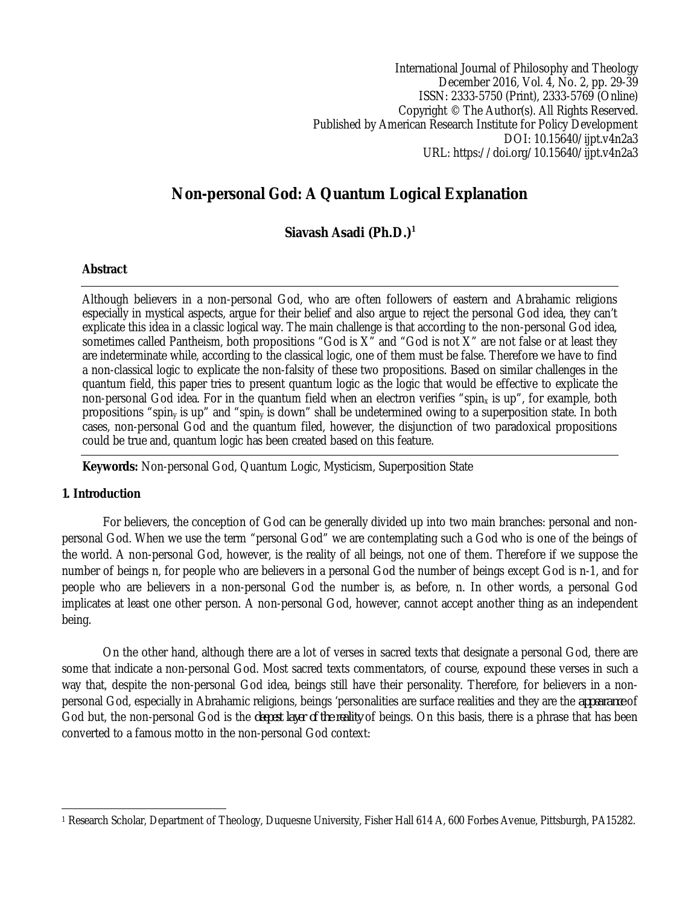International Journal of Philosophy and Theology December 2016, Vol. 4, No. 2, pp. 29-39 ISSN: 2333-5750 (Print), 2333-5769 (Online) Copyright © The Author(s). All Rights Reserved. Published by American Research Institute for Policy Development DOI: 10.15640/ijpt.v4n2a3 URL: https://doi.org/10.15640/ijpt.v4n2a3

# **Non-personal God: A Quantum Logical Explanation**

**Siavash Asadi (Ph.D.)<sup>1</sup>**

## **Abstract**

Although believers in a non-personal God, who are often followers of eastern and Abrahamic religions especially in mystical aspects, argue for their belief and also argue to reject the personal God idea, they can't explicate this idea in a classic logical way. The main challenge is that according to the non-personal God idea, sometimes called Pantheism, both propositions "God is X" and "God is not X" are not false or at least they are indeterminate while, according to the classical logic, one of them must be false. Therefore we have to find a non-classical logic to explicate the non-falsity of these two propositions. Based on similar challenges in the quantum field, this paper tries to present quantum logic as the logic that would be effective to explicate the non-personal God idea. For in the quantum field when an electron verifies "spin<sub>x</sub> is up", for example, both propositions "spin<sup>y</sup> is up" and "spin<sup>y</sup> is down" shall be undetermined owing to a superposition state. In both cases, non-personal God and the quantum filed, however, the disjunction of two paradoxical propositions could be true and, quantum logic has been created based on this feature.

**Keywords:** Non-personal God, Quantum Logic, Mysticism, Superposition State

#### **1. Introduction**

For believers, the conception of God can be generally divided up into two main branches: personal and nonpersonal God. When we use the term "personal God" we are contemplating such a God who is one of the beings of the world. A non-personal God, however, is the reality of all beings, not one of them. Therefore if we suppose the number of beings n, for people who are believers in a personal God the number of beings except God is n-1, and for people who are believers in a non-personal God the number is, as before, n. In other words, a personal God implicates at least one other person. A non-personal God, however, cannot accept another thing as an independent being.

On the other hand, although there are a lot of verses in sacred texts that designate a personal God, there are some that indicate a non-personal God. Most sacred texts commentators, of course, expound these verses in such a way that, despite the non-personal God idea, beings still have their personality. Therefore, for believers in a nonpersonal God, especially in Abrahamic religions, beings 'personalities are surface realities and they are the *appearance* of God but, the non-personal God is the *deepest layer of the reality* of beings. On this basis, there is a phrase that has been converted to a famous motto in the non-personal God context:

 $\overline{a}$ <sup>1</sup> Research Scholar, Department of Theology, Duquesne University, Fisher Hall 614 A, 600 Forbes Avenue, Pittsburgh, PA15282.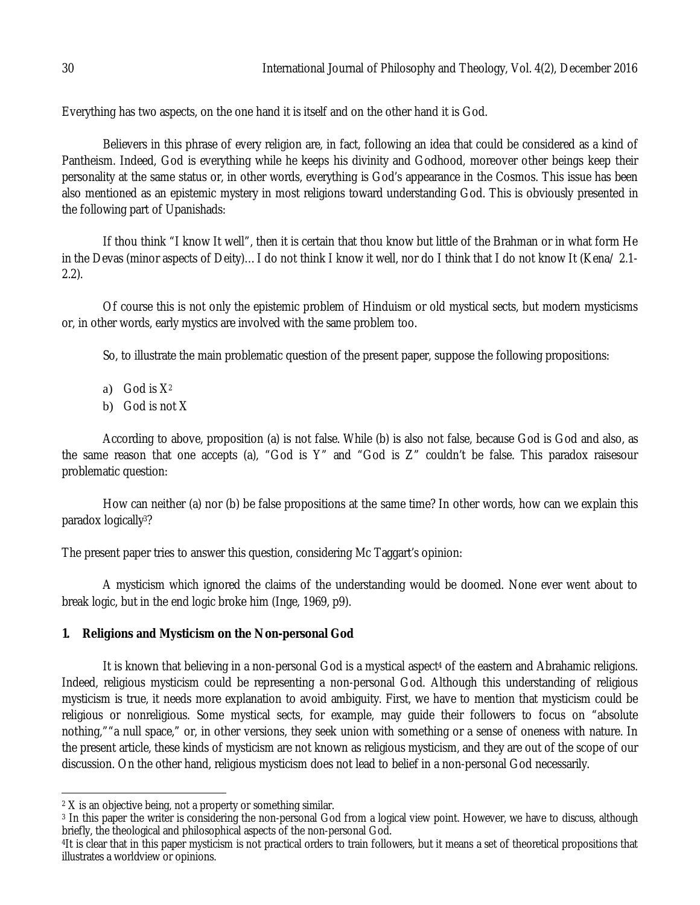Everything has two aspects, on the one hand it is itself and on the other hand it is God.

Believers in this phrase of every religion are, in fact, following an idea that could be considered as a kind of Pantheism. Indeed, God is everything while he keeps his divinity and Godhood, moreover other beings keep their personality at the same status or, in other words, everything is God's appearance in the Cosmos. This issue has been also mentioned as an epistemic mystery in most religions toward understanding God. This is obviously presented in the following part of Upanishads:

If thou think "I know It well", then it is certain that thou know but little of the Brahman or in what form He in the Devas (minor aspects of Deity)…I do not think I know it well, nor do I think that I do not know It (Kena/ 2.1- 2.2).

Of course this is not only the epistemic problem of Hinduism or old mystical sects, but modern mysticisms or, in other words, early mystics are involved with the same problem too.

So, to illustrate the main problematic question of the present paper, suppose the following propositions:

- a) God is  $X^2$
- b) God is not X

According to above, proposition (a) is not false. While (b) is also not false, because God is God and also, as the same reason that one accepts (a), "God is Y" and "God is Z" couldn't be false. This paradox raisesour problematic question:

How can neither (a) nor (b) be false propositions at the same time? In other words, how can we explain this paradox logically3?

The present paper tries to answer this question, considering Mc Taggart's opinion:

A mysticism which ignored the claims of the understanding would be doomed. None ever went about to break logic, but in the end logic broke him (Inge, 1969, p9).

# **1. Religions and Mysticism on the Non-personal God**

It is known that believing in a non-personal God is a mystical aspect<sup>4</sup> of the eastern and Abrahamic religions. Indeed, religious mysticism could be representing a non-personal God. Although this understanding of religious mysticism is true, it needs more explanation to avoid ambiguity. First, we have to mention that mysticism could be religious or nonreligious. Some mystical sects, for example, may guide their followers to focus on "absolute nothing,""a null space," or, in other versions, they seek union with something or a sense of oneness with nature. In the present article, these kinds of mysticism are not known as religious mysticism, and they are out of the scope of our discussion. On the other hand, religious mysticism does not lead to belief in a non-personal God necessarily.

 $\overline{a}$  $^{\rm 2}$  X is an objective being, not a property or something similar.

<sup>3</sup> In this paper the writer is considering the non-personal God from a logical view point. However, we have to discuss, although briefly, the theological and philosophical aspects of the non-personal God.

<sup>4</sup>It is clear that in this paper mysticism is not practical orders to train followers, but it means a set of theoretical propositions that illustrates a worldview or opinions.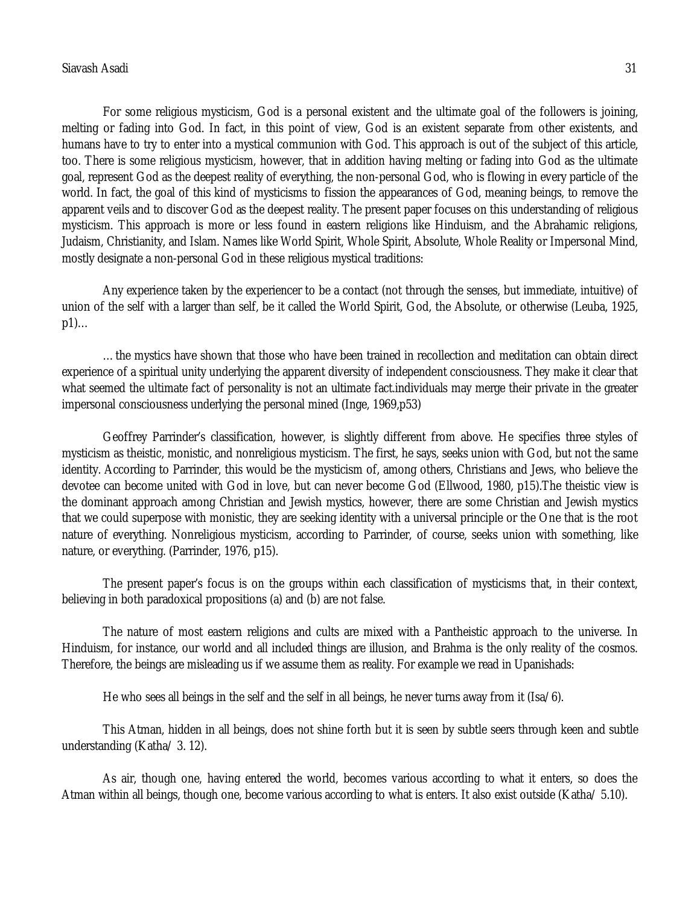### Siavash Asadi 31

For some religious mysticism, God is a personal existent and the ultimate goal of the followers is joining, melting or fading into God. In fact, in this point of view, God is an existent separate from other existents, and humans have to try to enter into a mystical communion with God. This approach is out of the subject of this article, too. There is some religious mysticism, however, that in addition having melting or fading into God as the ultimate goal, represent God as the deepest reality of everything, the non-personal God, who is flowing in every particle of the world. In fact, the goal of this kind of mysticisms to fission the appearances of God, meaning beings, to remove the apparent veils and to discover God as the deepest reality. The present paper focuses on this understanding of religious mysticism. This approach is more or less found in eastern religions like Hinduism, and the Abrahamic religions, Judaism, Christianity, and Islam. Names like World Spirit, Whole Spirit, Absolute, Whole Reality or Impersonal Mind, mostly designate a non-personal God in these religious mystical traditions:

Any experience taken by the experiencer to be a contact (not through the senses, but immediate, intuitive) of union of the self with a larger than self, be it called the World Spirit, God, the Absolute, or otherwise (Leuba, 1925, p1)…

…the mystics have shown that those who have been trained in recollection and meditation can obtain direct experience of a spiritual unity underlying the apparent diversity of independent consciousness. They make it clear that what seemed the ultimate fact of personality is not an ultimate fact.individuals may merge their private in the greater impersonal consciousness underlying the personal mined (Inge, 1969,p53)

Geoffrey Parrinder's classification, however, is slightly different from above. He specifies three styles of mysticism as theistic, monistic, and nonreligious mysticism. The first, he says, seeks union with God, but not the same identity. According to Parrinder, this would be the mysticism of, among others, Christians and Jews, who believe the devotee can become united with God in love, but can never become God (Ellwood, 1980, p15).The theistic view is the dominant approach among Christian and Jewish mystics, however, there are some Christian and Jewish mystics that we could superpose with monistic, they are seeking identity with a universal principle or the One that is the root nature of everything. Nonreligious mysticism, according to Parrinder, of course, seeks union with something, like nature, or everything. (Parrinder, 1976, p15).

The present paper's focus is on the groups within each classification of mysticisms that, in their context, believing in both paradoxical propositions (a) and (b) are not false.

The nature of most eastern religions and cults are mixed with a Pantheistic approach to the universe. In Hinduism, for instance, our world and all included things are illusion, and Brahma is the only reality of the cosmos. Therefore, the beings are misleading us if we assume them as reality. For example we read in Upanishads:

He who sees all beings in the self and the self in all beings, he never turns away from it (Isa/6).

This Atman, hidden in all beings, does not shine forth but it is seen by subtle seers through keen and subtle understanding (Katha/ 3. 12).

As air, though one, having entered the world, becomes various according to what it enters, so does the Atman within all beings, though one, become various according to what is enters. It also exist outside (Katha/ 5.10).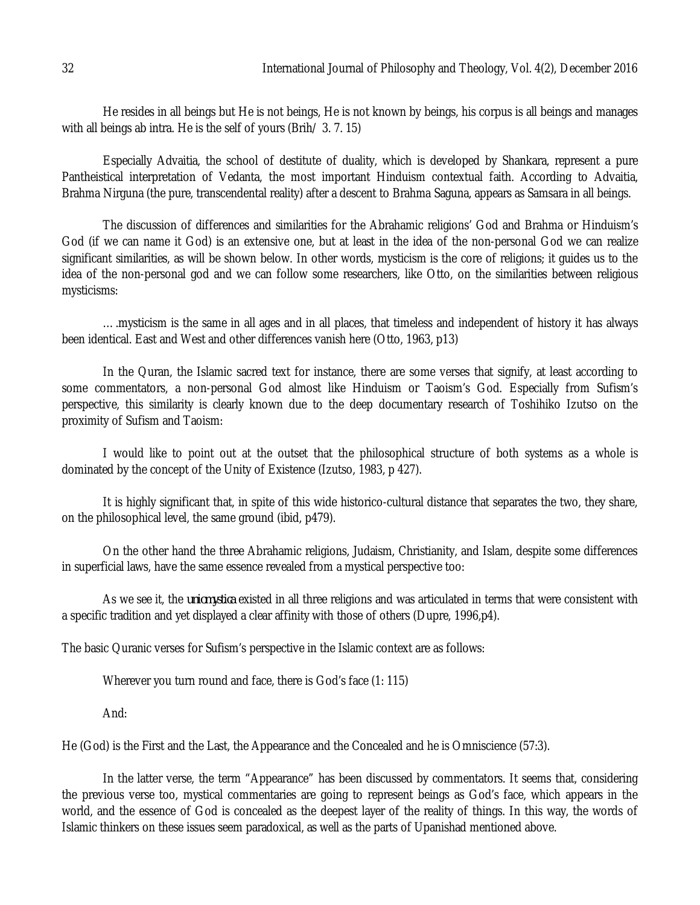He resides in all beings but He is not beings, He is not known by beings, his corpus is all beings and manages with all beings ab intra. He is the self of yours (Brih/ 3. 7. 15)

Especially Advaitia, the school of destitute of duality, which is developed by Shankara, represent a pure Pantheistical interpretation of Vedanta, the most important Hinduism contextual faith. According to Advaitia, Brahma Nirguna (the pure, transcendental reality) after a descent to Brahma Saguna, appears as Samsara in all beings.

The discussion of differences and similarities for the Abrahamic religions' God and Brahma or Hinduism's God (if we can name it God) is an extensive one, but at least in the idea of the non-personal God we can realize significant similarities, as will be shown below. In other words, mysticism is the core of religions; it guides us to the idea of the non-personal god and we can follow some researchers, like Otto, on the similarities between religious mysticisms:

….mysticism is the same in all ages and in all places, that timeless and independent of history it has always been identical. East and West and other differences vanish here (Otto, 1963, p13)

In the Quran, the Islamic sacred text for instance, there are some verses that signify, at least according to some commentators, a non-personal God almost like Hinduism or Taoism's God. Especially from Sufism's perspective, this similarity is clearly known due to the deep documentary research of Toshihiko Izutso on the proximity of Sufism and Taoism:

I would like to point out at the outset that the philosophical structure of both systems as a whole is dominated by the concept of the Unity of Existence (Izutso, 1983, p 427).

It is highly significant that, in spite of this wide historico-cultural distance that separates the two, they share, on the philosophical level, the same ground (ibid, p479).

On the other hand the three Abrahamic religions, Judaism, Christianity, and Islam, despite some differences in superficial laws, have the same essence revealed from a mystical perspective too:

As we see it, the *uniomystica* existed in all three religions and was articulated in terms that were consistent with a specific tradition and yet displayed a clear affinity with those of others (Dupre, 1996,p4).

The basic Quranic verses for Sufism's perspective in the Islamic context are as follows:

Wherever you turn round and face, there is God's face (1: 115)

And:

He (God) is the First and the Last, the Appearance and the Concealed and he is Omniscience (57:3).

In the latter verse, the term "Appearance" has been discussed by commentators. It seems that, considering the previous verse too, mystical commentaries are going to represent beings as God's face, which appears in the world, and the essence of God is concealed as the deepest layer of the reality of things. In this way, the words of Islamic thinkers on these issues seem paradoxical, as well as the parts of Upanishad mentioned above.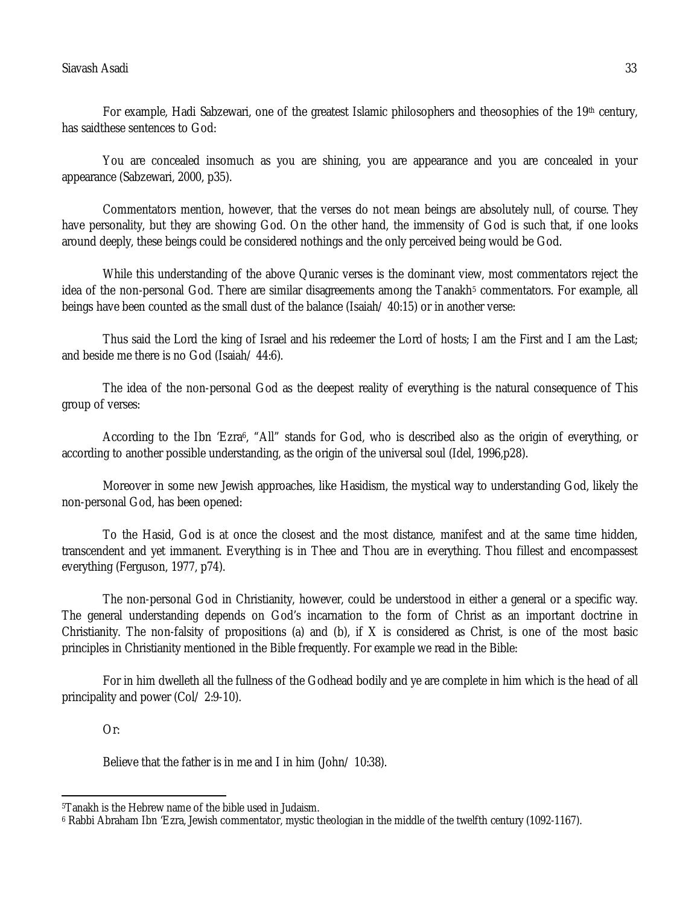# Siavash Asadi 33

For example, Hadi Sabzewari, one of the greatest Islamic philosophers and theosophies of the 19<sup>th</sup> century, has saidthese sentences to God:

You are concealed insomuch as you are shining, you are appearance and you are concealed in your appearance (Sabzewari, 2000, p35).

Commentators mention, however, that the verses do not mean beings are absolutely null, of course. They have personality, but they are showing God. On the other hand, the immensity of God is such that, if one looks around deeply, these beings could be considered nothings and the only perceived being would be God.

While this understanding of the above Quranic verses is the dominant view, most commentators reject the idea of the non-personal God. There are similar disagreements among the Tanakh<sup>5</sup> commentators. For example, all beings have been counted as the small dust of the balance (Isaiah/ 40:15) or in another verse:

Thus said the Lord the king of Israel and his redeemer the Lord of hosts; I am the First and I am the Last; and beside me there is no God (Isaiah/ 44:6).

The idea of the non-personal God as the deepest reality of everything is the natural consequence of This group of verses:

According to the Ibn 'Ezra<sup>6</sup>, "All" stands for God, who is described also as the origin of everything, or according to another possible understanding, as the origin of the universal soul (Idel, 1996,p28).

Moreover in some new Jewish approaches, like Hasidism, the mystical way to understanding God, likely the non-personal God, has been opened:

To the Hasid, God is at once the closest and the most distance, manifest and at the same time hidden, transcendent and yet immanent. Everything is in Thee and Thou are in everything. Thou fillest and encompassest everything (Ferguson, 1977, p74).

The non-personal God in Christianity, however, could be understood in either a general or a specific way. The general understanding depends on God's incarnation to the form of Christ as an important doctrine in Christianity. The non-falsity of propositions (a) and (b), if X is considered as Christ, is one of the most basic principles in Christianity mentioned in the Bible frequently. For example we read in the Bible:

For in him dwelleth all the fullness of the Godhead bodily and ye are complete in him which is the head of all principality and power (Col/ 2:9-10).

Or:

 $\overline{a}$ 

Believe that the father is in me and I in him (John/ 10:38).

<sup>5</sup>Tanakh is the Hebrew name of the bible used in Judaism.

<sup>6</sup> Rabbi Abraham Ibn 'Ezra, Jewish commentator, mystic theologian in the middle of the twelfth century (1092-1167).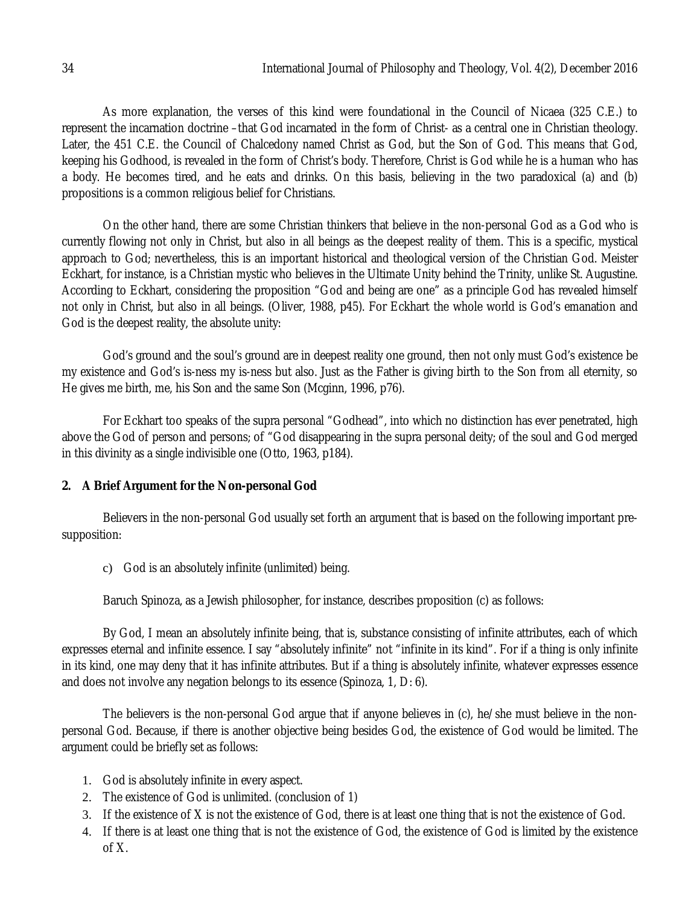As more explanation, the verses of this kind were foundational in the Council of Nicaea (325 C.E.) to represent the incarnation doctrine –that God incarnated in the form of Christ- as a central one in Christian theology. Later, the 451 C.E. the Council of Chalcedony named Christ as God, but the Son of God. This means that God, keeping his Godhood, is revealed in the form of Christ's body. Therefore, Christ is God while he is a human who has a body. He becomes tired, and he eats and drinks. On this basis, believing in the two paradoxical (a) and (b) propositions is a common religious belief for Christians.

On the other hand, there are some Christian thinkers that believe in the non-personal God as a God who is currently flowing not only in Christ, but also in all beings as the deepest reality of them. This is a specific, mystical approach to God; nevertheless, this is an important historical and theological version of the Christian God. Meister Eckhart, for instance, is a Christian mystic who believes in the Ultimate Unity behind the Trinity, unlike St. Augustine. According to Eckhart, considering the proposition "God and being are one" as a principle God has revealed himself not only in Christ, but also in all beings. (Oliver, 1988, p45). For Eckhart the whole world is God's emanation and God is the deepest reality, the absolute unity:

God's ground and the soul's ground are in deepest reality one ground, then not only must God's existence be my existence and God's is-ness my is-ness but also. Just as the Father is giving birth to the Son from all eternity, so He gives me birth, me, his Son and the same Son (Mcginn, 1996, p76).

For Eckhart too speaks of the supra personal "Godhead", into which no distinction has ever penetrated, high above the God of person and persons; of "God disappearing in the supra personal deity; of the soul and God merged in this divinity as a single indivisible one (Otto, 1963, p184).

## **2. A Brief Argument for the Non-personal God**

Believers in the non-personal God usually set forth an argument that is based on the following important presupposition:

c) God is an absolutely infinite (unlimited) being.

Baruch Spinoza, as a Jewish philosopher, for instance, describes proposition (c) as follows:

By God, I mean an absolutely infinite being, that is, substance consisting of infinite attributes, each of which expresses eternal and infinite essence. I say "absolutely infinite" not "infinite in its kind". For if a thing is only infinite in its kind, one may deny that it has infinite attributes. But if a thing is absolutely infinite, whatever expresses essence and does not involve any negation belongs to its essence (Spinoza, 1, D: 6).

The believers is the non-personal God argue that if anyone believes in (c), he/she must believe in the nonpersonal God. Because, if there is another objective being besides God, the existence of God would be limited. The argument could be briefly set as follows:

- 1. God is absolutely infinite in every aspect.
- 2. The existence of God is unlimited. (conclusion of 1)
- 3. If the existence of X is not the existence of God, there is at least one thing that is not the existence of God.
- 4. If there is at least one thing that is not the existence of God, the existence of God is limited by the existence of X.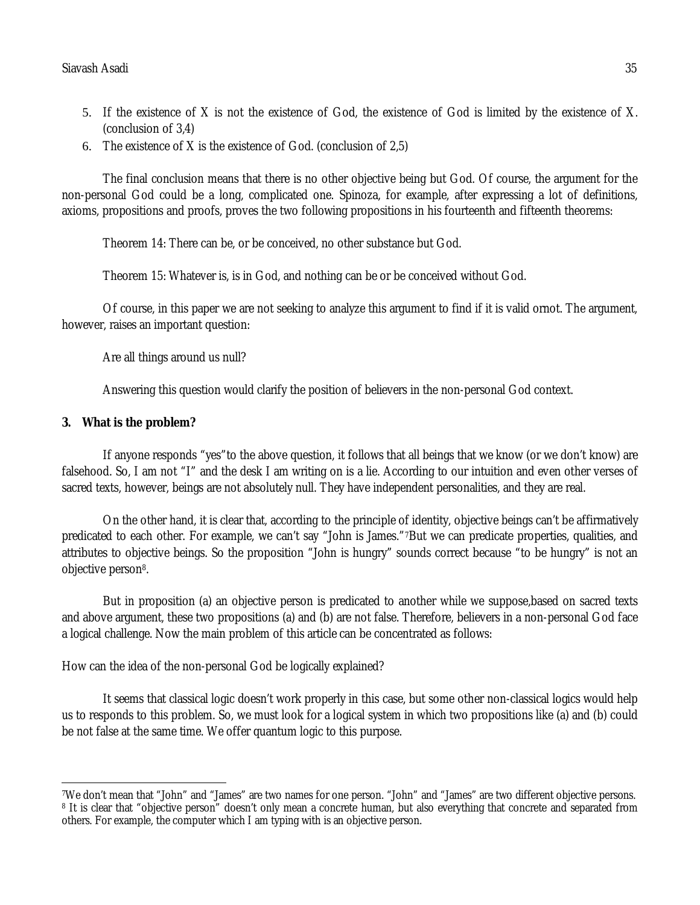- 5. If the existence of X is not the existence of God, the existence of God is limited by the existence of X. (conclusion of 3,4)
- 6. The existence of X is the existence of God. (conclusion of 2,5)

The final conclusion means that there is no other objective being but God. Of course, the argument for the non-personal God could be a long, complicated one. Spinoza, for example, after expressing a lot of definitions, axioms, propositions and proofs, proves the two following propositions in his fourteenth and fifteenth theorems:

Theorem 14: There can be, or be conceived, no other substance but God.

Theorem 15: Whatever is, is in God, and nothing can be or be conceived without God.

Of course, in this paper we are not seeking to analyze this argument to find if it is valid ornot. The argument, however, raises an important question:

Are all things around us null?

Answering this question would clarify the position of believers in the non-personal God context.

#### **3. What is the problem?**

If anyone responds "yes"to the above question, it follows that all beings that we know (or we don't know) are falsehood. So, I am not "I" and the desk I am writing on is a lie. According to our intuition and even other verses of sacred texts, however, beings are not absolutely null. They have independent personalities, and they are real.

On the other hand, it is clear that, according to the principle of identity, objective beings can't be affirmatively predicated to each other. For example, we can't say "John is James."7But we can predicate properties, qualities, and attributes to objective beings. So the proposition "John is hungry" sounds correct because "to be hungry" is not an objective person8.

But in proposition (a) an objective person is predicated to another while we suppose,based on sacred texts and above argument, these two propositions (a) and (b) are not false. Therefore, believers in a non-personal God face a logical challenge. Now the main problem of this article can be concentrated as follows:

How can the idea of the non-personal God be logically explained?

It seems that classical logic doesn't work properly in this case, but some other non-classical logics would help us to responds to this problem. So, we must look for a logical system in which two propositions like (a) and (b) could be not false at the same time. We offer quantum logic to this purpose.

 $\overline{\phantom{a}}$ <sup>7</sup>We don't mean that "John" and "James" are two names for one person. "John" and "James" are two different objective persons. <sup>8</sup> It is clear that "objective person" doesn't only mean a concrete human, but also everything that concrete and separated from others. For example, the computer which I am typing with is an objective person.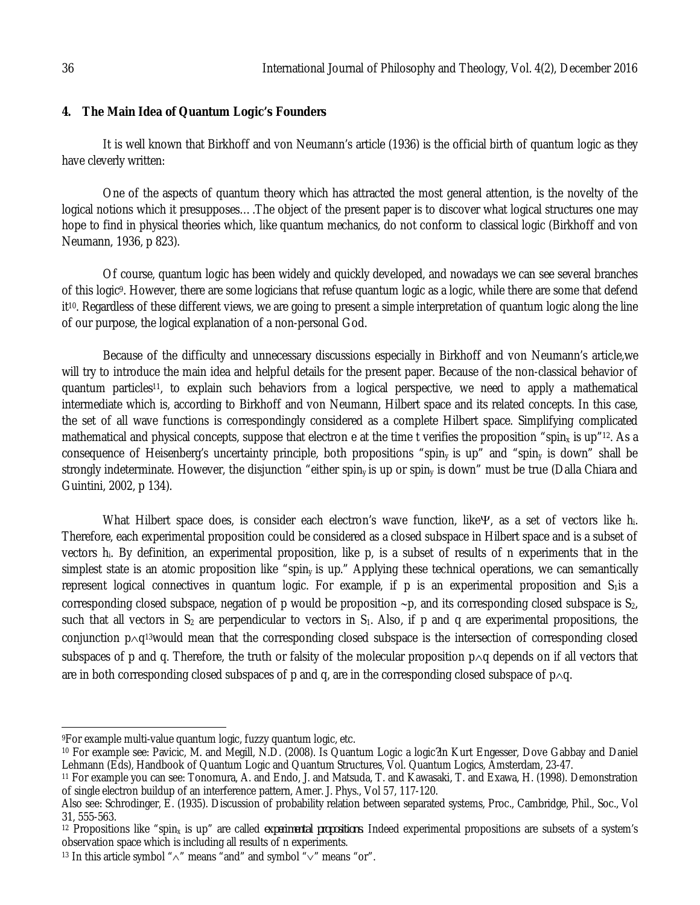## **4. The Main Idea of Quantum Logic's Founders**

It is well known that Birkhoff and von Neumann's article (1936) is the official birth of quantum logic as they have cleverly written:

One of the aspects of quantum theory which has attracted the most general attention, is the novelty of the logical notions which it presupposes….The object of the present paper is to discover what logical structures one may hope to find in physical theories which, like quantum mechanics, do not conform to classical logic (Birkhoff and von Neumann, 1936, p 823).

Of course, quantum logic has been widely and quickly developed, and nowadays we can see several branches of this logic9. However, there are some logicians that refuse quantum logic as a logic, while there are some that defend it10. Regardless of these different views, we are going to present a simple interpretation of quantum logic along the line of our purpose, the logical explanation of a non-personal God.

Because of the difficulty and unnecessary discussions especially in Birkhoff and von Neumann's article,we will try to introduce the main idea and helpful details for the present paper. Because of the non-classical behavior of quantum particles11, to explain such behaviors from a logical perspective, we need to apply a mathematical intermediate which is, according to Birkhoff and von Neumann, Hilbert space and its related concepts. In this case, the set of all wave functions is correspondingly considered as a complete Hilbert space. Simplifying complicated mathematical and physical concepts, suppose that electron e at the time t verifies the proposition "spin<sub>x</sub> is up"<sup>12</sup>. As a consequence of Heisenberg's uncertainty principle, both propositions "spin<sub>y</sub> is up" and "spin<sub>y</sub> is down" shall be strongly indeterminate. However, the disjunction "either spin<sub>y</sub> is up or spin<sub>y</sub> is down" must be true (Dalla Chiara and Guintini, 2002, p 134).

What Hilbert space does, is consider each electron's wave function, like  $\Psi$ , as a set of vectors like h<sub>i</sub>. Therefore, each experimental proposition could be considered as a closed subspace in Hilbert space and is a subset of vectors hi. By definition, an experimental proposition, like p, is a subset of results of n experiments that in the simplest state is an atomic proposition like "spin<sub>y</sub> is up." Applying these technical operations, we can semantically represent logical connectives in quantum logic. For example, if  $p$  is an experimental proposition and  $S_1$ is a corresponding closed subspace, negation of p would be proposition  $\sim p$ , and its corresponding closed subspace is S<sub>2</sub>, such that all vectors in  $S_2$  are perpendicular to vectors in  $S_1$ . Also, if p and q are experimental propositions, the conjunction  $p\wedge q^{13}$ would mean that the corresponding closed subspace is the intersection of corresponding closed subspaces of p and q. Therefore, the truth or falsity of the molecular proposition  $p \wedge q$  depends on if all vectors that are in both corresponding closed subspaces of p and q, are in the corresponding closed subspace of  $p \wedge q$ .

 $\overline{a}$ <sup>9</sup>For example multi-value quantum logic, fuzzy quantum logic, etc.

<sup>10</sup> For example see: Pavicic, M. and Megill, N.D. (2008). Is Quantum Logic a logic*?*in Kurt Engesser, Dove Gabbay and Daniel Lehmann (Eds), Handbook of Quantum Logic and Quantum Structures, Vol. Quantum Logics, Amsterdam, 23-47.

<sup>11</sup> For example you can see: Tonomura, A. and Endo, J. and Matsuda, T. and Kawasaki, T. and Exawa, H. (1998). Demonstration of single electron buildup of an interference pattern, Amer. J. Phys., Vol 57, 117-120.

Also see: Schrodinger, E. (1935). Discussion of probability relation between separated systems, Proc., Cambridge, Phil., Soc., Vol 31, 555-563.

<sup>&</sup>lt;sup>12</sup> Propositions like "spin<sub>x</sub> is up" are called *experimental propositions*. Indeed experimental propositions are subsets of a system's observation space which is including all results of n experiments.

<sup>&</sup>lt;sup>13</sup> In this article symbol " $\wedge$ " means "and" and symbol " $\vee$ " means "or".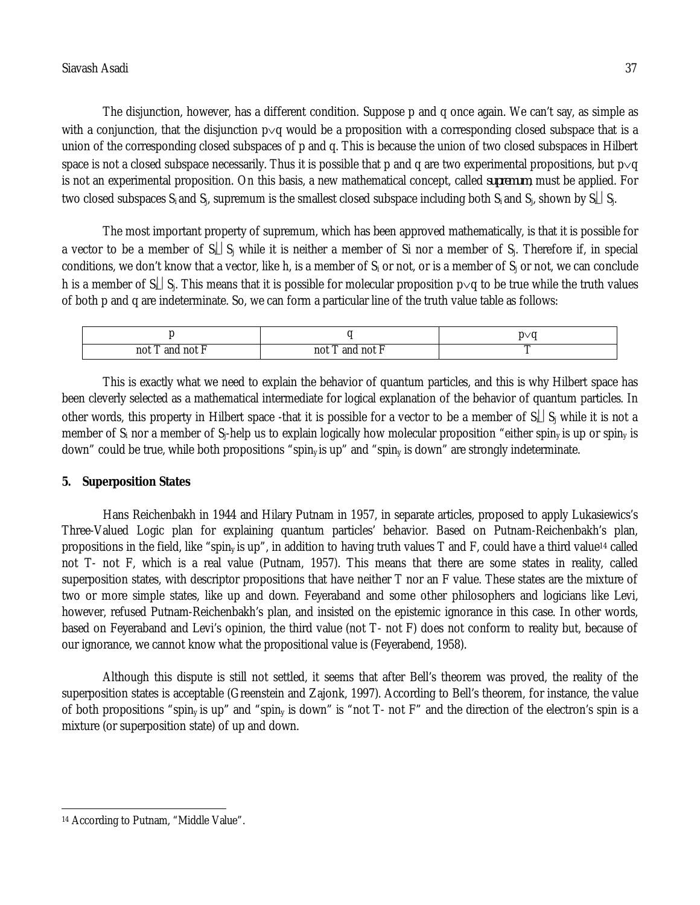The disjunction, however, has a different condition. Suppose p and q once again. We can't say, as simple as with a conjunction, that the disjunction  $p\vee q$  would be a proposition with a corresponding closed subspace that is a union of the corresponding closed subspaces of p and q. This is because the union of two closed subspaces in Hilbert space is not a closed subspace necessarily. Thus it is possible that p and q are two experimental propositions, but  $p\vee q$ is not an experimental proposition. On this basis, a new mathematical concept, called *supremum*, must be applied. For two closed subspaces S<sub>i</sub> and S<sub>i</sub>, supremum is the smallest closed subspace including both S<sub>i</sub> and S<sub>i</sub>, shown by S<sub>i</sub>. S.

The most important property of supremum, which has been approved mathematically, is that it is possible for a vector to be a member of  $S_k|S_i$  while it is neither a member of Si nor a member of  $S_i$ . Therefore if, in special conditions, we don't know that a vector, like h, is a member of  $S_i$  or not, or is a member of  $S_i$  or not, we can conclude h is a member of S<sub>il</sub> S<sub>i</sub>. This means that it is possible for molecular proposition  $p\vee q$  to be true while the truth values of both p and q are indeterminate. So, we can form a particular line of the truth value table as follows:

|                          |                         | $n \vee n$<br>. . |
|--------------------------|-------------------------|-------------------|
| not<br>not<br>and<br>___ | not<br>anı<br>noi<br>__ |                   |

This is exactly what we need to explain the behavior of quantum particles, and this is why Hilbert space has been cleverly selected as a mathematical intermediate for logical explanation of the behavior of quantum particles. In other words, this property in Hilbert space -that it is possible for a vector to be a member of  $S_L|S_i$  while it is not a member of  $S_i$  nor a member of  $S_i$ -help us to explain logically how molecular proposition "either spin<sub>y</sub> is up or spin<sub>y</sub> is down" could be true, while both propositions "spin<sub>y</sub> is up" and "spin<sub>y</sub> is down" are strongly indeterminate.

# **5. Superposition States**

Hans Reichenbakh in 1944 and Hilary Putnam in 1957, in separate articles, proposed to apply Lukasiewics's Three-Valued Logic plan for explaining quantum particles' behavior. Based on Putnam-Reichenbakh's plan, propositions in the field, like "spin<sub>y</sub> is up", in addition to having truth values T and F, could have a third value<sup>14</sup> called not T- not F, which is a real value (Putnam, 1957). This means that there are some states in reality, called superposition states, with descriptor propositions that have neither T nor an F value. These states are the mixture of two or more simple states, like up and down. Feyeraband and some other philosophers and logicians like Levi, however, refused Putnam-Reichenbakh's plan, and insisted on the epistemic ignorance in this case. In other words, based on Feyeraband and Levi's opinion, the third value (not T- not F) does not conform to reality but, because of our ignorance, we cannot know what the propositional value is (Feyerabend, 1958).

Although this dispute is still not settled, it seems that after Bell's theorem was proved, the reality of the superposition states is acceptable (Greenstein and Zajonk, 1997). According to Bell's theorem, for instance, the value of both propositions "spin<sub>y</sub> is up" and "spin<sub>y</sub> is down" is "not T- not F" and the direction of the electron's spin is a mixture (or superposition state) of up and down.

 $\overline{a}$ <sup>14</sup> According to Putnam, "Middle Value".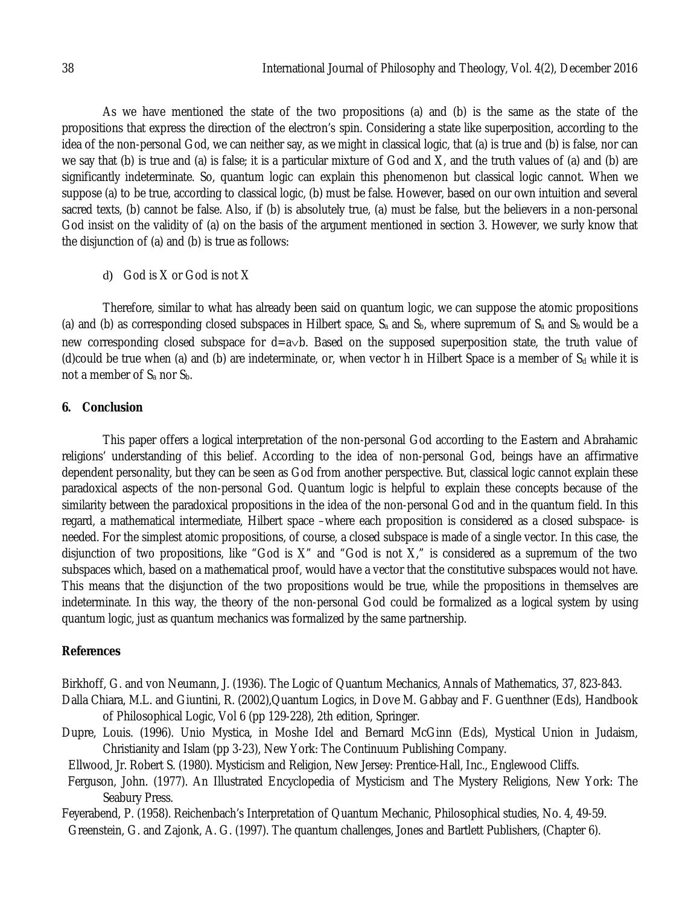As we have mentioned the state of the two propositions (a) and (b) is the same as the state of the propositions that express the direction of the electron's spin. Considering a state like superposition, according to the idea of the non-personal God, we can neither say, as we might in classical logic, that (a) is true and (b) is false, nor can we say that (b) is true and (a) is false; it is a particular mixture of God and X, and the truth values of (a) and (b) are significantly indeterminate. So, quantum logic can explain this phenomenon but classical logic cannot. When we suppose (a) to be true, according to classical logic, (b) must be false. However, based on our own intuition and several sacred texts, (b) cannot be false. Also, if (b) is absolutely true, (a) must be false, but the believers in a non-personal God insist on the validity of (a) on the basis of the argument mentioned in section 3. However, we surly know that the disjunction of (a) and (b) is true as follows:

d) God is X or God is not X

Therefore, similar to what has already been said on quantum logic, we can suppose the atomic propositions (a) and (b) as corresponding closed subspaces in Hilbert space,  $S_a$  and  $S_b$ , where supremum of  $S_a$  and  $S_b$  would be a new corresponding closed subspace for  $d = a \vee b$ . Based on the supposed superposition state, the truth value of (d)could be true when (a) and (b) are indeterminate, or, when vector h in Hilbert Space is a member of  $S_d$  while it is not a member of  $S_a$  nor  $S_b$ .

# **6. Conclusion**

This paper offers a logical interpretation of the non-personal God according to the Eastern and Abrahamic religions' understanding of this belief. According to the idea of non-personal God, beings have an affirmative dependent personality, but they can be seen as God from another perspective. But, classical logic cannot explain these paradoxical aspects of the non-personal God. Quantum logic is helpful to explain these concepts because of the similarity between the paradoxical propositions in the idea of the non-personal God and in the quantum field. In this regard, a mathematical intermediate, Hilbert space –where each proposition is considered as a closed subspace- is needed. For the simplest atomic propositions, of course, a closed subspace is made of a single vector. In this case, the disjunction of two propositions, like "God is  $X$ " and "God is not  $X$ ," is considered as a supremum of the two subspaces which, based on a mathematical proof, would have a vector that the constitutive subspaces would not have. This means that the disjunction of the two propositions would be true, while the propositions in themselves are indeterminate. In this way, the theory of the non-personal God could be formalized as a logical system by using quantum logic, just as quantum mechanics was formalized by the same partnership.

## **References**

Birkhoff, G. and von Neumann, J. (1936). The Logic of Quantum Mechanics, Annals of Mathematics, 37, 823-843.

- Dalla Chiara, M.L. and Giuntini, R. (2002),Quantum Logics, in Dove M. Gabbay and F. Guenthner (Eds), Handbook of Philosophical Logic, Vol 6 (pp 129-228), 2th edition, Springer.
- Dupre, Louis. (1996). Unio Mystica, in Moshe Idel and Bernard McGinn (Eds), Mystical Union in Judaism, Christianity and Islam (pp 3-23), New York: The Continuum Publishing Company.
- Ellwood, Jr. Robert S. (1980). Mysticism and Religion, New Jersey: Prentice-Hall, Inc., Englewood Cliffs.
- Ferguson, John. (1977). An Illustrated Encyclopedia of Mysticism and The Mystery Religions, New York: The Seabury Press.
- Feyerabend, P. (1958). Reichenbach's Interpretation of Quantum Mechanic, Philosophical studies, No. 4, 49-59.